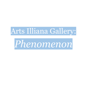

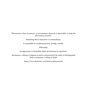Phenomenon a fact, occurrence, or circumstance observed or observable: to study the phenomena of nature.

Something that is impressive or extraordinary.

A remarkable or exceptional person; prodigy; wonder.

Philosophy.

An appearance or immediate object of awareness in experience.

Kantianism. a thing as it appears to and is constructed by the mind, as distinguished from a noumenon, or thing-in-itself.

https://www.dictionary.com/browse/phenomenon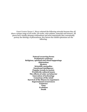Guest Curator Donna L. Meyer selected the following artworks because they all show a unique range of 2D works, 3D works, color palettes, materials and textures. All pieces have visually pleasing compositions and most importantly they conceptually portray the ideology of phenomenon. Key factors the exhibit epitomizes are the following:

> **Natural occurring forms** Prehistoric existence Religious, spiritual and ritual happenings **Abstraction Mystery Scientific anomalies Emotional intelligence Popular trends in society** Worldwide cultural issues The effects of color on behavior **Innovation of technology Conscious of the mind** Survival of the fitness in organism's **Supernatural occurrences Existence Time Evolution** Death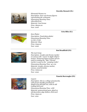# **Dorothy Bennett (IL)**



Elemental Women #2 Description: Four cast bronze figures representing the 4 elements. Dimensions/Running Time: 18inx18inX11in Material: Cast bronze Price: \$6000.00 Year: 2018

# Erin Blitz (IL)

**Rod Bradfield (IN)** 



Ecto-Platter Description: Fused glass platter Dimensions/Running Time: 15.75in x 8.5in Material: Glass Price: \$195.00 Year: 2022



# The Last Camp

Description: Acrylic and chrome marker on canvas with `waves' in slight relief or texture. Numerous layers of clear gel are used in creating the `lake'. Chrome marker is used on the `camping trailer'. Dimensions/Running Time:  $40x60$ Material: Acrylic, chrome marker, canvas, wood stretcher Price: \$1600.00 Year: 2020

#### **Pamela Burroughs (IN)**



#### Lagoon

Description: this is a collage of postcards, with gel pen doodles, punched out shapes, very old stick ons, with an old trading bird card Dimensions/Running Time: 11X8 Material: postcards, gel pens, glued on old decorative edge stickers, bird card Price: \$300.00 Year: 2021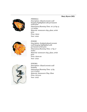# **Mary Byers (MI)**



# *FIREBALL*

*Description: Glazed ceramic wall hanging highlighted with permanent*  $artist pens$ *Dimensions/Running Time: 16 1/2 by 15*  $1/2$  *inches Material: stoneware clay, glaze, artist penV PUice: \$200 Year: 2022* 



# *POWER*

*Description: Sculpted glazed ceramic z*wall hanging highlighted with *permanent artist pens Dimensions/Running Time: 17 by 17 inches Material: stoneware clay, glaze, artist* pens *PUice: \$200.00 Year: 2022* 



# *ENIGMA*

*Description: Glazed ceramic wall hanging Dimensions/Running Time:* 15 *by 101/2 inches Material: Stoneware Clay, Glaze PUice: \$175.00 Year: 2022*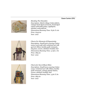## **Zann Carter (IN)**



*Mending The Ghostskin Description: Stitch Collage Cotton fabric,*  $vintage$  *hand-dyed remnants, hand-dyed*  $cotton$  *embroidery floss*, *appliqued*,  $stitched, embroidered.$ *Dimensions/Running Time: 8.5in X 11in PUice: \$135.00 Year: 2021* 



*Charm For Moments Of Equanimity Description: Small loom weaving Cotton <u>Zarp, wool weft with reclaimed sari silk</u> yarn & ribbon, kantha quilt remnants,*  $clay$  *face, woven, stitched, braided, tied Dimensions/Running Time: 3.75in x 7in PUice: \$85.00 Year: 2021* 



*Charm for Sun & Bluest Skies Description: Small loom weaving Cotton <u>uarp, reclaimed sari silk ribbon, kantha</u> guilt remnants, vintage plastic button,*  $\overline{w}$ *zoven, stitched, braided, tied Dimensions/Running Time: 3.5in X 7in PUice: \$85.00 Year: 2021*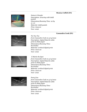## **Monica Coffelt (IN)**



*Nature's Wonder Description: drawing with chalk pastels Dimensions/Running Time: 22 by 21 1/2 Material: chalk pastels PUice: \$125.00 Year: 2022* 

#### **Cassandra Cook (IN)**



*Tic-Tac-Toe from Cassandra Cook on 3/14/2022 Description: digital black & white print on Matt paper Dimensions/Running Time: 8[11incheV Material: archival digital print PUice: \$100.00 Year: 2022* 



 $X$  *Marks the Spot from Cassandra Cook on 3/14/2022 Description: digital black & white print on Matt paper Dimensions/Running Time: 8[11incheV Material: archival digital print PUice: \$100.00 Year: 2022* 



*Party Line from Cassandra Cook on 3/14/2022 Description: digital black & white print on Matt paper Dimensions/Running Time: 8[11incheV Material: archival digital print PUice: \$100.00 Year: 2022*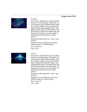#### **Ginger Davis (TX)**



# *TXUmoil*

*Description: Inkjet print of solar pinhole image* on *archival* paper. This photo is a *long exposure solar pinhole image made in a lensless coffee can by using expired light-sensitive photographic paper. The photographic paper is removed from the*  $pinhole$  *and scanned into Photoshop. The image is inverted to a positive image in Photoshop and printed on an inkjet printer. Dimensions/Running Time: 24in x 20in framed Material: Framed inkjet print of solar pinhole image on archival paper PUice: \$250.00 Year:* 2021



#### *Fusion*

*Description: Inkjet print of solar pinhole image* on *archival* paper. This photo is a *long exposure solar pinhole image made in a lensless coffee can by using expired light-sensitive photographic paper. The photographic paper is removed from the*  $pinhole$  *and scanned into Photoshop. The image is inverted to a positive image in Photoshop and printed on an inkjet printer.* 

*Dimensions/Running Time: 24in x 20in framed* 

*Material: Framed inkjet print of solar pinhole image* on *archival paper PUice: \$250.00 Year:* 2021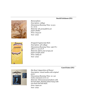# David Erickson (IN)



Biomorphism Description: collage Dimensions/Running Time: 13 3/4  $in x 16 in$ Material: tile grout, fabric, cut paper, shellac Price: \$135.00 Year: 2022



Dropped Cryptoscript Stich Description: 3D collage Dimensions/Running Time:  $24$ in W x  $48$ in L x 1  $3/4$  in D Material: fabric, mat scraps, cut paper, acrylic paint Price: \$285.00 Year: 2022

# **Carol Estes (IN)**



She Rose! (Apparition of Flame) Description: mixed media with original poem Dimensions/Running Time: 21 x 30 inches and poem is  $8x10$ Material: Distressed panel/photo with burned edges, floating photo hung with tree bark and old chain. Price: \$400.00 Year: 2022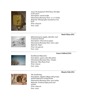

Leave No Footprint! (We'll leave the light on for you!) Description: mixed media Dimensions/Running Time:  $11 \times 17$  inches Material: Photographs mounted on tree bark Price: \$145.00 Year: 2022

# **Mark Flinn (IN)**



Edmontosaurus regalis, Life-Size. Late Cretaceous Period. Description: Charcoal on paper. Dimensions/Running Time: 61in x 43in Material: Paper Price: \$11,430.00 Year: 2021

# **Grace Fulford (IN)**



Southbound Migration Description: 35mm color film photo Dimensions/Running Time: 7inx5in Material: Film Photo Print Price: \$75.00 Year: 2022

Shayla Fish (IN)



The Awakening Description: Digital collage with grunge acetate layered in ornate frame Dimensions/Running Time: 9x12 inches Material: Archival inkjet print and acetate Price: \$150.00 Year: 2022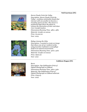# **Neil Garrison (IN)**



Storm Clouds Circle the Valley Description: Storm Clouds Circle the Valley - combines minimalist clouds that interact with one another to become a traveling storm of color. The viewer is positioned high above the plains to witness the interaction of color and clean river transformation. Dimensions/Running Time: 48in x 48in Material: Acrylic on canvas Price: \$1,200.00 Year: 2019



Refuge Among the Lilies Description: I wanted to create an image that shows one of our resident turtles using inventive methods to camouflage itself in its natural environment. Dimensions/Running Time: 30in x 30in Material: Acrylic on Canvas Price: \$900.00 Year: 2021

# **Cathleen Hogan (IN)**



**Burst** 

Description: Dye Sublimation Print of Digital Photograph on DiBond Dimensions/Running Time: 36in x 33in Material: Dye Sublimation Print of Digital Photograph on DiBond substrate Price: \$795.23  $Year: 2022$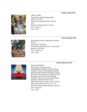# **Cathie Laska (IN)**



Where's Aldo? Description: digital photograph, inkjet on canvas Dimensions/Running Time: 16in by 20in Material: photograph on canvas Price: \$150.00 Year: 2018

# **Travis Martin (IN)**



The Missing Link (An Alternate Creation Story) Description: Painting Dimensions/Running Time: 11x14 Inches Material: Oil Paint Price: \$5000.00 Year: 2019



Magma Meditation Description: The abstraction photographic technique on this volcano eruption involves manually blurring the digital image and then twirling it around its center. That version is copied and then the pixels are twirled in the opposite direction. The two versions are blended together and mirrored to create symmetry of lava, smoke, crater and sky. Dimensions/Running Time: 20 x 20 Material: Photographic giclee on canvas Price: \$495.00 Year: 2022

# Louisa Murzyn (IN)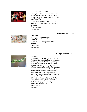

Grandmas Who Love Elvis Description: Photojournalism shot taken at social phenomenon Elvis Presley's Graceland. Who doesn't have a gramma that loves Elvis? Dimensions/Running Time: 10 x 14 Material: Archival pigment print on fine art paper Price: \$195.00 Year: 2022

# Sister Jody O'Neil (IN)



**DREAMS** Description: ACRYLIC ON **CANVAS** Dimensions/Running Time: 24 IN X48 IN Price: \$350.00 Year: 2018

# **George Pfister (IN)**



# **Beholder**

Description: Free hanging multimedia: Poem overlay on digital photo, printed on poster paper and attached to grocery sack paper. Rain soaked and sun dried over grassy knoll, cropped with torn edges and natural grass border, attached to tree branch armature. Suspended from ceiling by fishing line. 'A weed is not a weed until you weed it, before then it might, in another one's sight, it might be called a flower' Dimensions/Running Time: 40 inches wide, 20 inches tall, 6 inches depth. Material: Inkiet print, grocery sack, Maple tree branch, grass Price: \$75.00 Year: 2020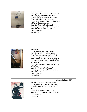

Serendipitree 2

Description: Multi media sculpture with photograph presentation on urban sourced refuse fence line tree sapling. River rock ballast over steel base. Dimensions/Running Time: 10 ft tall, 4 ft wide, 3 ft depth. Photo 32by Material: Inkjet printed digital photograph on paper affixed to plywood and presented on tree sapling. Price: \$200.00 Year: 2022



# Flowerful 3

Description: Metal sculpture with photograph overlay. Shaped metal (found objects) cut to size of attached photo enlargements. Individual shapes attached to steel armature. Hangs off of standard gallery photo rail or provided wall bracket. Dimensions/Running Time: 36 inches by 36 inches. Material: Inkjet printed digital photograph on paper affixed to shaped metal sculpture. Price: \$300.00 Year: 2022

# **Austin Roberts (IN)**



The Phantasms: The Inner Horizon Description: Digital illustration of the personification of the center of a black hole Dimensions/Running Time: 14x20 Material: Digital Illustration on Canvas Price: \$200.00 Year: 2021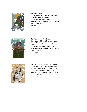

*The Phantasms: The Sun Description: Digital illustration of the*  $personification$  *of the sun Dimensions/Running Time: 14x20 Material: Digital Illustration on Canvas PUice: \$200.00 Year: 2021* 



*The Phantasms: The Keeper Description: Digital illustration of the personification of a harborer of the future Dimensions/Running Time: 14x20 Material: Digital Illustration on Canvas PUice: \$200.00 Year: 2021* 



*The Phantasms: The Damaged Entity Description: Digital illustration of the personification of change and healing Dimensions/Running Time: 14x20 Material: Digital Illustration on Canvas PUice: \$200.00 Year:* 2021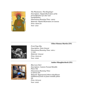

The Phantasms: The Kingslayer Description: Digital illustration of the personification of a liar and manipulation Dimensions/Running Time: 14x20 Material: Digital Illustration on Canvas Price: \$200.00 Year: 2021

# **Chloe Simma-Martin (IN)**



Front Page Sky Description: Dots-Linocut Dimensions/Running Time: 10in x 17.75in Material: Linocut Price: \$100.00 Year: 2022

# **Amber Slaughterbeck (IN)**



**Blue Love Dart** Description: Custom Framed Metallic Photo Tile Dimensions/Running Time: 9.75inx9.75in Material: Repurposed 1800s schoolhouse chalkboard frame on foam metallic photo tile Price: \$175.00 Year: 2022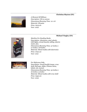#### **Christina Slayton (IN)**



 $A$  *Moment Of Stillness Description: Oil on canvas Dimensions/Running Time:*  $12 \times 16$ *Material: Oil paint PUice: \$475.00 Year: 2022* 

# **Michael Tingley (IN)**



*Machine For Reading Books*  $Description: Aluminum, steel, plastic,$ *LED lights, circuit boards, tubing, electric*  $motor, fan,$ *Dimensions/Running Time: 57 inches x <i>27**inches*  $x$  *18**inches Material: Mixed media with electronics PUice: \$750.00 Year: 2021* 



*For Reference Only Description: Found backlit image, crow*  $Kull$ , *doll* eyes, slides, *Chinese menu*,  $labels, ink, enamel.$ *Dimensions/Running Time: 32 inches x*  $16$  *inches*  $x$   $\overline{5}$  *inches Material: Mixed media with crow skull PUice: \$450.00 Year: 2022*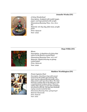#### **Jennefer Weeks (IN)**



A Fairy Wonderland Description: Sculpted with model magic, paper, and tape painted with acrylic Dimensions/Running Time:  $7$ in x  $7$ in x 8in Material: Air dry clay, fake moss, acrylic paint Price: \$375.00 Year: 2022

# **Hope Wible (IN)**



#### **Bloom**

Description: A depiction of a fairy that caters to the flowers around them. Dimensions/Running Time:  $10? \times 10?$ Material: Digital drawing on glossy coated paper Price: \$200.00 Year: 2022

# **Matthew Worthington (IN)**



#### Pirate Captains Chair

Description: Hand hewn logs with carved scenes from the golden age of piracy! The chair seat has opposed flaming skulls with a ships anchor and rope above them. The chair back has a sailing ship on the high seas, with a nautical pirate compass above. There are sailing ships rigging on each side and fishing net accents at the top. The legs have dockside roping wound around the base Dimensions/Running Time: 30?x30?x40? Material: Basswoods Price: \$750.00 Year: 2022